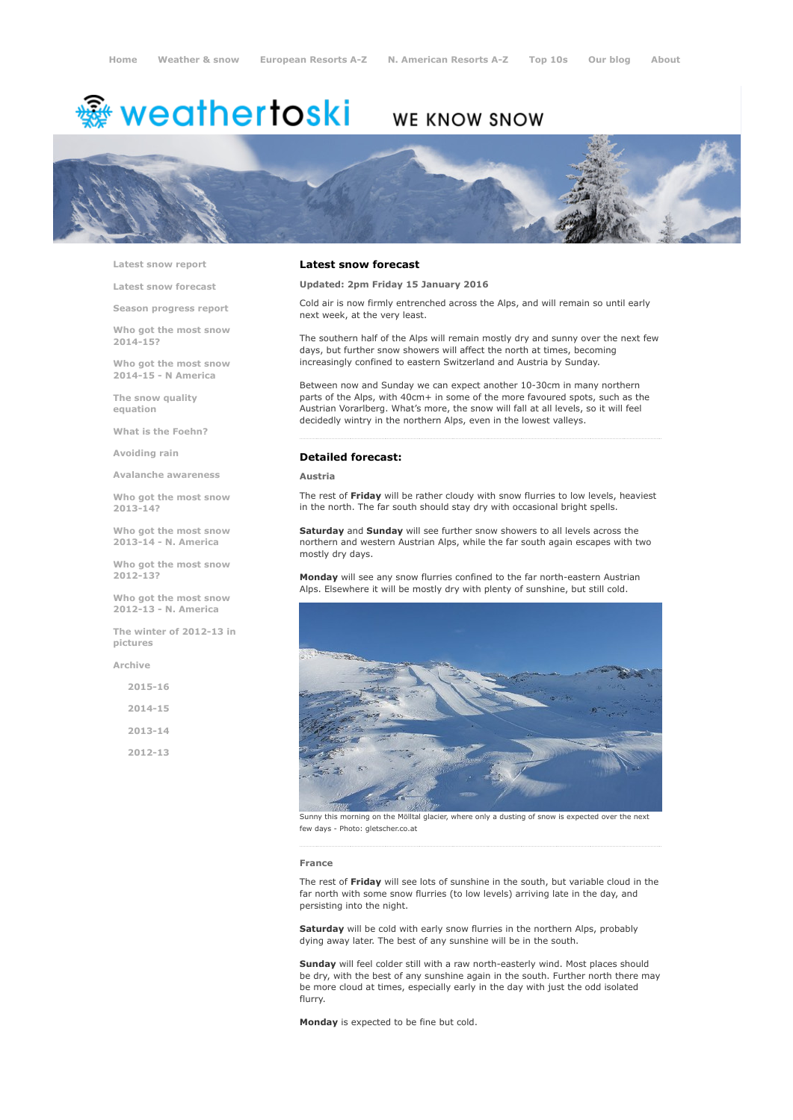# <del>鑾</del> weathertoski

# WE KNOW SNOW



Latest snow [report](http://www.weathertoski.co.uk/weather-snow/latest-snow-report/)

Latest snow [forecast](http://www.weathertoski.co.uk/weather-snow/latest-snow-forecast/)

Season [progress](http://www.weathertoski.co.uk/weather-snow/season-progress-report/) report

Who got the most snow 2014-15?

Who got the most snow 2014-15 - N America

The snow quality [equation](http://www.weathertoski.co.uk/weather-snow/the-snow-quality-equation/)

What is the [Foehn?](http://www.weathertoski.co.uk/weather-snow/what-is-the-foehn/)

[Avoiding](http://www.weathertoski.co.uk/weather-snow/avoiding-rain/) rain

Avalanche [awareness](http://www.weathertoski.co.uk/weather-snow/avalanche-awareness/)

Who got the most snow 2013-14?

Who got the most snow 2013-14 - N. America

Who got the most snow 2012-13?

Who got the most snow 2012-13 - N. America

The winter of 2012-13 in pictures

[Archive](http://www.weathertoski.co.uk/weather-snow/archive/)

2015-16 2014-15 2013-14 2012-13

# Latest snow forecast

Updated: 2pm Friday 15 January 2016

Cold air is now firmly entrenched across the Alps, and will remain so until early next week, at the very least.

The southern half of the Alps will remain mostly dry and sunny over the next few days, but further snow showers will affect the north at times, becoming increasingly confined to eastern Switzerland and Austria by Sunday.

Between now and Sunday we can expect another 10-30cm in many northern parts of the Alps, with 40cm+ in some of the more favoured spots, such as the Austrian Vorarlberg. What's more, the snow will fall at all levels, so it will feel decidedly wintry in the northern Alps, even in the lowest valleys.

# Detailed forecast:

Austria

The rest of Friday will be rather cloudy with snow flurries to low levels, heaviest in the north. The far south should stay dry with occasional bright spells.

Saturday and Sunday will see further snow showers to all levels across the northern and western Austrian Alps, while the far south again escapes with two mostly dry days.

Monday will see any snow flurries confined to the far north-eastern Austrian Alps. Elsewhere it will be mostly dry with plenty of sunshine, but still cold.



Sunny this morning on the Mölltal glacier, where only a dusting of snow is expected over the next few days - Photo: gletscher.co.at

#### France

The rest of Friday will see lots of sunshine in the south, but variable cloud in the far north with some snow flurries (to low levels) arriving late in the day, and persisting into the night.

Saturday will be cold with early snow flurries in the northern Alps, probably dying away later. The best of any sunshine will be in the south.

Sunday will feel colder still with a raw north-easterly wind. Most places should be dry, with the best of any sunshine again in the south. Further north there may be more cloud at times, especially early in the day with just the odd isolated flurry.

Monday is expected to be fine but cold.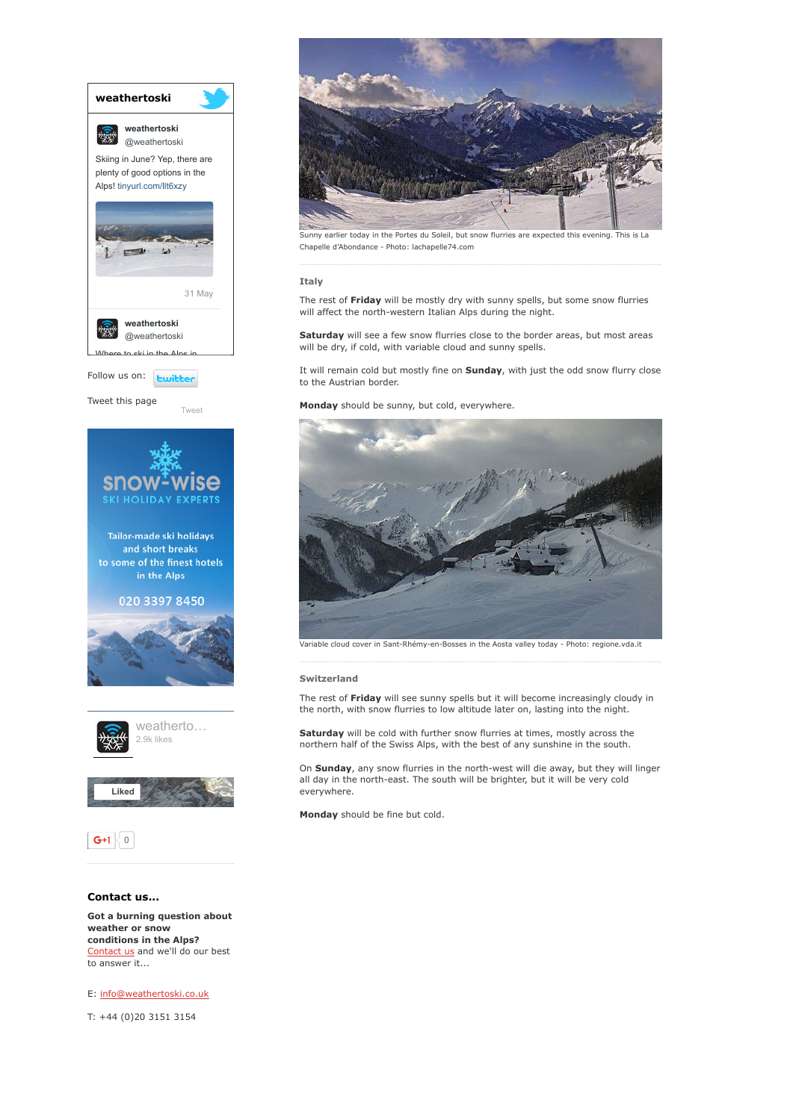

weather or snow conditions in the Alps? [Contact](http://www.weathertoski.co.uk/about-1/contact-us/) us and we'll do our best to answer it...

E: [info@weathertoski.co.uk](mailto:fraser@weathertoski.co.uk)

T: +44 (0)20 3151 3154



Sunny earlier today in the Portes du Soleil, but snow flurries are expected this evening. This is La Chapelle d'Abondance Photo: lachapelle74.com

## Italy

The rest of Friday will be mostly dry with sunny spells, but some snow flurries will affect the north-western Italian Alps during the night.

Saturday will see a few snow flurries close to the border areas, but most areas will be dry, if cold, with variable cloud and sunny spells.

It will remain cold but mostly fine on **Sunday**, with just the odd snow flurry close to the Austrian border.

Monday should be sunny, but cold, everywhere.



Variable cloud cover in Sant-Rhémy-en-Bosses in the Aosta valley today - Photo: regione.vda.it

### Switzerland

The rest of Friday will see sunny spells but it will become increasingly cloudy in the north, with snow flurries to low altitude later on, lasting into the night.

Saturday will be cold with further snow flurries at times, mostly across the northern half of the Swiss Alps, with the best of any sunshine in the south.

On Sunday, any snow flurries in the north-west will die away, but they will linger all day in the north-east. The south will be brighter, but it will be very cold everywhere.

Monday should be fine but cold.